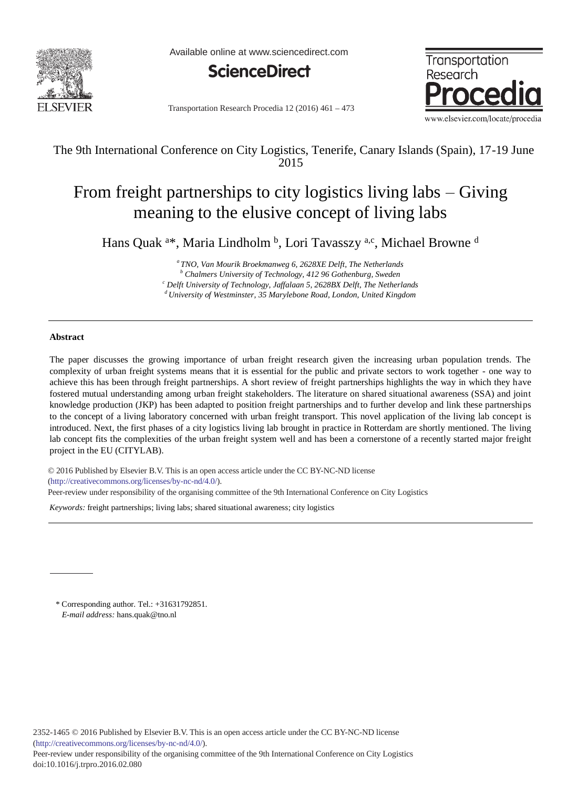

Available online at www.sciencedirect.com



Transportation Research Procedia 12 (2016) 461 - 473



The 9th International Conference on City Logistics, Tenerife, Canary Islands (Spain), 17-19 June 2015

# From freight partnerships to city logistics living labs – Giving meaning to the elusive concept of living labs

Hans Quak <sup>a\*</sup>, Maria Lindholm <sup>b</sup>, Lori Tavasszy <sup>a,c</sup>, Michael Browne <sup>d</sup>

*a TNO, Van Mourik Broekmanweg 6, 2628XE Delft, The Netherlands <sup>b</sup> Chalmers University of Technology, 412 96 Gothenburg, Sweden <sup>c</sup> Delft University of Technology, Jaffalaan 5, 2628BX Delft, The Netherlands d University of Westminster, 35 Marylebone Road, London, United Kingdom* 

# **Abstract**

The paper discusses the growing importance of urban freight research given the increasing urban population trends. The complexity of urban freight systems means that it is essential for the public and private sectors to work together - one way to achieve this has been through freight partnerships. A short review of freight partnerships highlights the way in which they have fostered mutual understanding among urban freight stakeholders. The literature on shared situational awareness (SSA) and joint knowledge production (JKP) has been adapted to position freight partnerships and to further develop and link these partnerships to the concept of a living laboratory concerned with urban freight transport. This novel application of the living lab concept is introduced. Next, the first phases of a city logistics living lab brought in practice in Rotterdam are shortly mentioned. The living lab concept fits the complexities of the urban freight system well and has been a cornerstone of a recently started major freight project in the EU (CITYLAB).

© 2016 Published by Elsevier B.V. This is an open access article under the CC BY-NC-ND license (imp://creamvecommons.org/incenses/oy-nc-nd/4.0/).<br>Peer-review under responsibility of the organising committee of the 9th International Conference on City Logistics (http://creativecommons.org/licenses/by-nc-nd/4.0/).

*Keywords:* freight partnerships; living labs; shared situational awareness; city logistics

\* Corresponding author. Tel.: +31631792851. *E-mail address:* hans.quak@tno.nl

2352-1465 © 2016 Published by Elsevier B.V. This is an open access article under the CC BY-NC-ND license (http://creativecommons.org/licenses/by-nc-nd/4.0/).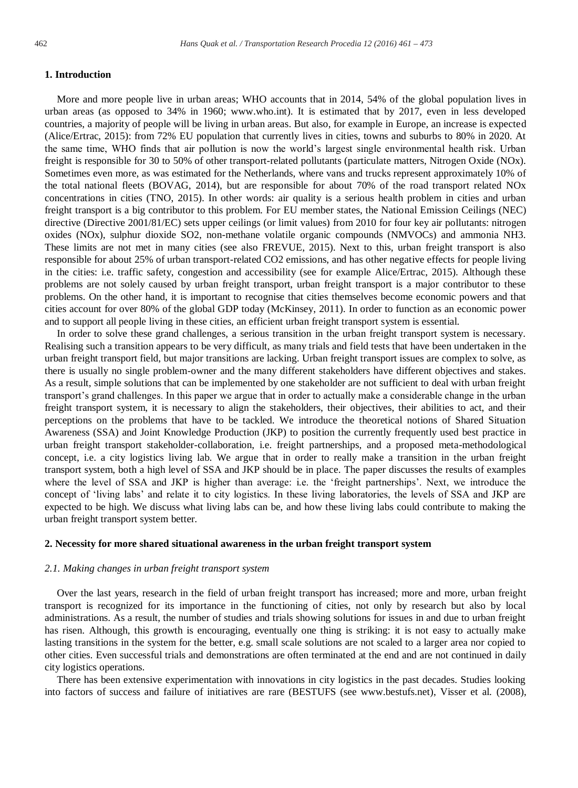## **1. Introduction**

More and more people live in urban areas; WHO accounts that in 2014, 54% of the global population lives in urban areas (as opposed to 34% in 1960; www.who.int). It is estimated that by 2017, even in less developed countries, a majority of people will be living in urban areas. But also, for example in Europe, an increase is expected (Alice/Ertrac, 2015): from 72% EU population that currently lives in cities, towns and suburbs to 80% in 2020. At the same time, WHO finds that air pollution is now the world's largest single environmental health risk. Urban freight is responsible for 30 to 50% of other transport-related pollutants (particulate matters, Nitrogen Oxide (NOx). Sometimes even more, as was estimated for the Netherlands, where vans and trucks represent approximately 10% of the total national fleets (BOVAG, 2014), but are responsible for about 70% of the road transport related NOx concentrations in cities (TNO, 2015). In other words: air quality is a serious health problem in cities and urban freight transport is a big contributor to this problem. For EU member states, the National Emission Ceilings (NEC) directive (Directive 2001/81/EC) sets upper ceilings (or limit values) from 2010 for four key air pollutants: nitrogen oxides (NOx), sulphur dioxide SO2, non-methane volatile organic compounds (NMVOCs) and ammonia NH3. These limits are not met in many cities (see also FREVUE, 2015). Next to this, urban freight transport is also responsible for about 25% of urban transport-related CO2 emissions, and has other negative effects for people living in the cities: i.e. traffic safety, congestion and accessibility (see for example Alice/Ertrac, 2015). Although these problems are not solely caused by urban freight transport, urban freight transport is a major contributor to these problems. On the other hand, it is important to recognise that cities themselves become economic powers and that cities account for over 80% of the global GDP today (McKinsey, 2011). In order to function as an economic power and to support all people living in these cities, an efficient urban freight transport system is essential.

In order to solve these grand challenges, a serious transition in the urban freight transport system is necessary. Realising such a transition appears to be very difficult, as many trials and field tests that have been undertaken in the urban freight transport field, but major transitions are lacking. Urban freight transport issues are complex to solve, as there is usually no single problem-owner and the many different stakeholders have different objectives and stakes. As a result, simple solutions that can be implemented by one stakeholder are not sufficient to deal with urban freight transport's grand challenges. In this paper we argue that in order to actually make a considerable change in the urban freight transport system, it is necessary to align the stakeholders, their objectives, their abilities to act, and their perceptions on the problems that have to be tackled. We introduce the theoretical notions of Shared Situation Awareness (SSA) and Joint Knowledge Production (JKP) to position the currently frequently used best practice in urban freight transport stakeholder-collaboration, i.e. freight partnerships, and a proposed meta-methodological concept, i.e. a city logistics living lab. We argue that in order to really make a transition in the urban freight transport system, both a high level of SSA and JKP should be in place. The paper discusses the results of examples where the level of SSA and JKP is higher than average: i.e. the 'freight partnerships'. Next, we introduce the concept of 'living labs' and relate it to city logistics. In these living laboratories, the levels of SSA and JKP are expected to be high. We discuss what living labs can be, and how these living labs could contribute to making the urban freight transport system better.

## **2. Necessity for more shared situational awareness in the urban freight transport system**

# *2.1. Making changes in urban freight transport system*

Over the last years, research in the field of urban freight transport has increased; more and more, urban freight transport is recognized for its importance in the functioning of cities, not only by research but also by local administrations. As a result, the number of studies and trials showing solutions for issues in and due to urban freight has risen. Although, this growth is encouraging, eventually one thing is striking: it is not easy to actually make lasting transitions in the system for the better, e.g. small scale solutions are not scaled to a larger area nor copied to other cities. Even successful trials and demonstrations are often terminated at the end and are not continued in daily city logistics operations.

There has been extensive experimentation with innovations in city logistics in the past decades. Studies looking into factors of success and failure of initiatives are rare (BESTUFS (see www.bestufs.net), Visser et al. (2008),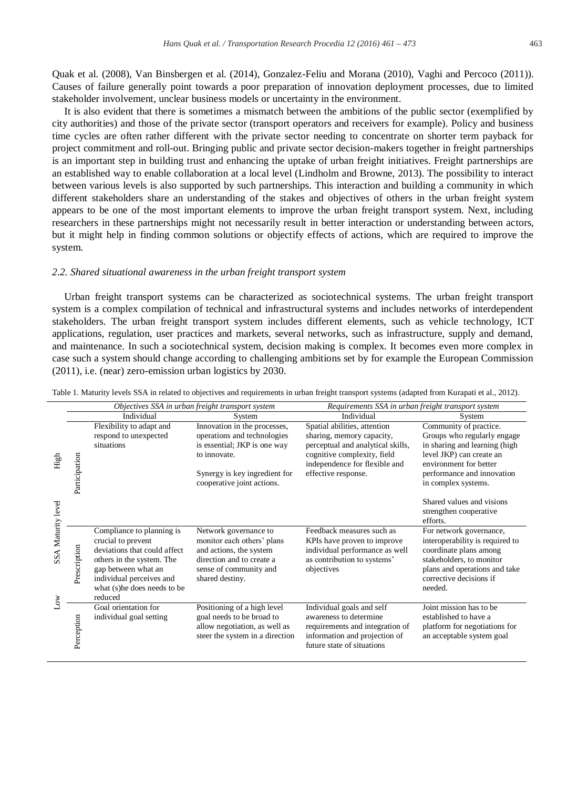Quak et al. (2008), Van Binsbergen et al. (2014), Gonzalez-Feliu and Morana (2010), Vaghi and Percoco (2011)). Causes of failure generally point towards a poor preparation of innovation deployment processes, due to limited stakeholder involvement, unclear business models or uncertainty in the environment.

It is also evident that there is sometimes a mismatch between the ambitions of the public sector (exemplified by city authorities) and those of the private sector (transport operators and receivers for example). Policy and business time cycles are often rather different with the private sector needing to concentrate on shorter term payback for project commitment and roll-out. Bringing public and private sector decision-makers together in freight partnerships is an important step in building trust and enhancing the uptake of urban freight initiatives. Freight partnerships are an established way to enable collaboration at a local level (Lindholm and Browne, 2013). The possibility to interact between various levels is also supported by such partnerships. This interaction and building a community in which different stakeholders share an understanding of the stakes and objectives of others in the urban freight system appears to be one of the most important elements to improve the urban freight transport system. Next, including researchers in these partnerships might not necessarily result in better interaction or understanding between actors, but it might help in finding common solutions or objectify effects of actions, which are required to improve the system.

#### *2.2. Shared situational awareness in the urban freight transport system*

Urban freight transport systems can be characterized as sociotechnical systems. The urban freight transport system is a complex compilation of technical and infrastructural systems and includes networks of interdependent stakeholders. The urban freight transport system includes different elements, such as vehicle technology, ICT applications, regulation, user practices and markets, several networks, such as infrastructure, supply and demand, and maintenance. In such a sociotechnical system, decision making is complex. It becomes even more complex in case such a system should change according to challenging ambitions set by for example the European Commission (2011), i.e. (near) zero-emission urban logistics by 2030.

|                          | Objectives SSA in urban freight transport system |                                                                                                                                                                                                            | Requirements SSA in urban freight transport system                                                                                                                         |                                                                                                                                                                                       |                                                                                                                                                                                                   |
|--------------------------|--------------------------------------------------|------------------------------------------------------------------------------------------------------------------------------------------------------------------------------------------------------------|----------------------------------------------------------------------------------------------------------------------------------------------------------------------------|---------------------------------------------------------------------------------------------------------------------------------------------------------------------------------------|---------------------------------------------------------------------------------------------------------------------------------------------------------------------------------------------------|
|                          |                                                  | Individual                                                                                                                                                                                                 | System                                                                                                                                                                     | Individual                                                                                                                                                                            | System                                                                                                                                                                                            |
| High                     | Participation                                    | Flexibility to adapt and<br>respond to unexpected<br>situations                                                                                                                                            | Innovation in the processes,<br>operations and technologies<br>is essential; JKP is one way<br>to innovate.<br>Synergy is key ingredient for<br>cooperative joint actions. | Spatial abilities, attention<br>sharing, memory capacity,<br>perceptual and analytical skills,<br>cognitive complexity, field<br>independence for flexible and<br>effective response. | Community of practice.<br>Groups who regularly engage<br>in sharing and learning (high<br>level JKP) can create an<br>environment for better<br>performance and innovation<br>in complex systems. |
| SSA Maturity level<br>Šν |                                                  |                                                                                                                                                                                                            |                                                                                                                                                                            |                                                                                                                                                                                       | Shared values and visions<br>strengthen cooperative<br>efforts.                                                                                                                                   |
|                          | Prescription                                     | Compliance to planning is<br>crucial to prevent<br>deviations that could affect<br>others in the system. The<br>gap between what an<br>individual perceives and<br>what (s) he does needs to be<br>reduced | Network governance to<br>monitor each others' plans<br>and actions, the system<br>direction and to create a<br>sense of community and<br>shared destiny.                   | Feedback measures such as<br>KPIs have proven to improve<br>individual performance as well<br>as contribution to systems'<br>objectives                                               | For network governance,<br>interoperability is required to<br>coordinate plans among<br>stakeholders, to monitor<br>plans and operations and take<br>corrective decisions if<br>needed.           |
|                          | Perception                                       | Goal orientation for<br>individual goal setting                                                                                                                                                            | Positioning of a high level<br>goal needs to be broad to<br>allow negotiation, as well as<br>steer the system in a direction                                               | Individual goals and self<br>awareness to determine<br>requirements and integration of<br>information and projection of<br>future state of situations                                 | Joint mission has to be<br>established to have a<br>platform for negotiations for<br>an acceptable system goal                                                                                    |

Table 1. Maturity levels SSA in related to objectives and requirements in urban freight transport systems (adapted from Kurapati et al., 2012).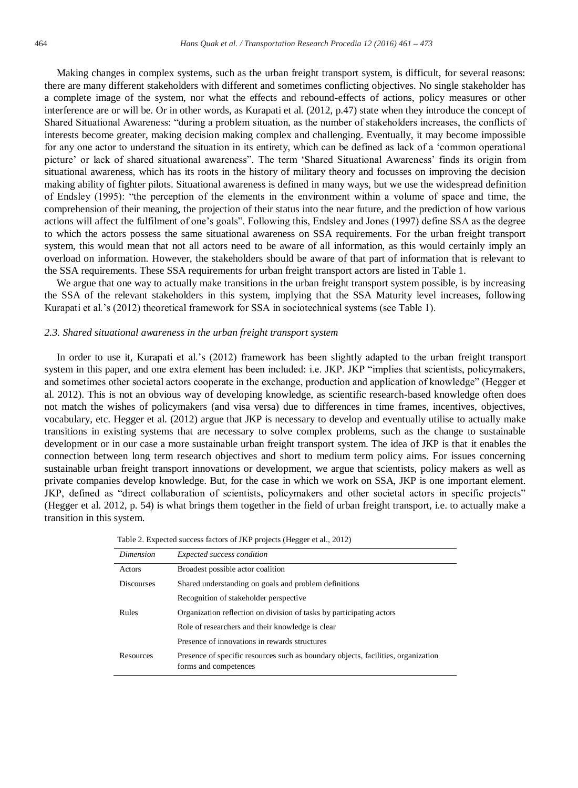Making changes in complex systems, such as the urban freight transport system, is difficult, for several reasons: there are many different stakeholders with different and sometimes conflicting objectives. No single stakeholder has a complete image of the system, nor what the effects and rebound-effects of actions, policy measures or other interference are or will be. Or in other words, as Kurapati et al. (2012, p.47) state when they introduce the concept of Shared Situational Awareness: "during a problem situation, as the number of stakeholders increases, the conflicts of interests become greater, making decision making complex and challenging. Eventually, it may become impossible for any one actor to understand the situation in its entirety, which can be defined as lack of a 'common operational picture' or lack of shared situational awareness". The term 'Shared Situational Awareness' finds its origin from situational awareness, which has its roots in the history of military theory and focusses on improving the decision making ability of fighter pilots. Situational awareness is defined in many ways, but we use the widespread definition of Endsley (1995): "the perception of the elements in the environment within a volume of space and time, the comprehension of their meaning, the projection of their status into the near future, and the prediction of how various actions will affect the fulfilment of one's goals". Following this, Endsley and Jones (1997) define SSA as the degree to which the actors possess the same situational awareness on SSA requirements. For the urban freight transport system, this would mean that not all actors need to be aware of all information, as this would certainly imply an overload on information. However, the stakeholders should be aware of that part of information that is relevant to the SSA requirements. These SSA requirements for urban freight transport actors are listed in Table 1.

We argue that one way to actually make transitions in the urban freight transport system possible, is by increasing the SSA of the relevant stakeholders in this system, implying that the SSA Maturity level increases, following Kurapati et al.'s (2012) theoretical framework for SSA in sociotechnical systems (see Table 1).

## *2.3. Shared situational awareness in the urban freight transport system*

In order to use it, Kurapati et al.'s (2012) framework has been slightly adapted to the urban freight transport system in this paper, and one extra element has been included: i.e. JKP. JKP "implies that scientists, policymakers, and sometimes other societal actors cooperate in the exchange, production and application of knowledge" (Hegger et al. 2012). This is not an obvious way of developing knowledge, as scientific research-based knowledge often does not match the wishes of policymakers (and visa versa) due to differences in time frames, incentives, objectives, vocabulary, etc. Hegger et al. (2012) argue that JKP is necessary to develop and eventually utilise to actually make transitions in existing systems that are necessary to solve complex problems, such as the change to sustainable development or in our case a more sustainable urban freight transport system. The idea of JKP is that it enables the connection between long term research objectives and short to medium term policy aims. For issues concerning sustainable urban freight transport innovations or development, we argue that scientists, policy makers as well as private companies develop knowledge. But, for the case in which we work on SSA, JKP is one important element. JKP, defined as "direct collaboration of scientists, policymakers and other societal actors in specific projects" (Hegger et al. 2012, p. 54) is what brings them together in the field of urban freight transport, i.e. to actually make a transition in this system.

| Table 2. Expected success factors of JKP projects (Hegger et al., 2012) |  |  |  |  |
|-------------------------------------------------------------------------|--|--|--|--|
|-------------------------------------------------------------------------|--|--|--|--|

| Dimension         | Expected success condition                                                                                 |
|-------------------|------------------------------------------------------------------------------------------------------------|
| Actors            | Broadest possible actor coalition                                                                          |
| <b>Discourses</b> | Shared understanding on goals and problem definitions                                                      |
|                   | Recognition of stakeholder perspective                                                                     |
| Rules             | Organization reflection on division of tasks by participating actors                                       |
|                   | Role of researchers and their knowledge is clear                                                           |
|                   | Presence of innovations in rewards structures                                                              |
| <b>Resources</b>  | Presence of specific resources such as boundary objects, facilities, organization<br>forms and competences |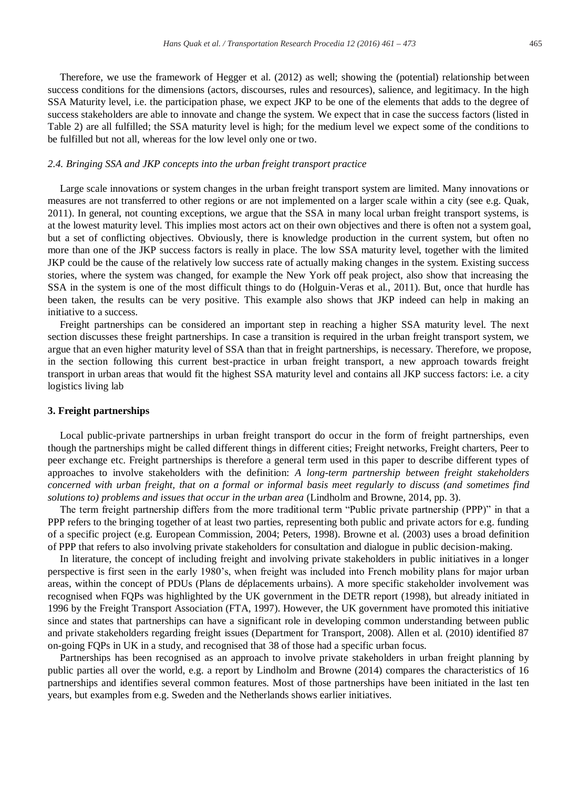Therefore, we use the framework of Hegger et al. (2012) as well; showing the (potential) relationship between success conditions for the dimensions (actors, discourses, rules and resources), salience, and legitimacy. In the high SSA Maturity level, i.e. the participation phase, we expect JKP to be one of the elements that adds to the degree of success stakeholders are able to innovate and change the system. We expect that in case the success factors (listed in Table 2) are all fulfilled; the SSA maturity level is high; for the medium level we expect some of the conditions to be fulfilled but not all, whereas for the low level only one or two.

## *2.4. Bringing SSA and JKP concepts into the urban freight transport practice*

Large scale innovations or system changes in the urban freight transport system are limited. Many innovations or measures are not transferred to other regions or are not implemented on a larger scale within a city (see e.g. Quak, 2011). In general, not counting exceptions, we argue that the SSA in many local urban freight transport systems, is at the lowest maturity level. This implies most actors act on their own objectives and there is often not a system goal, but a set of conflicting objectives. Obviously, there is knowledge production in the current system, but often no more than one of the JKP success factors is really in place. The low SSA maturity level, together with the limited JKP could be the cause of the relatively low success rate of actually making changes in the system. Existing success stories, where the system was changed, for example the New York off peak project, also show that increasing the SSA in the system is one of the most difficult things to do (Holguin-Veras et al., 2011). But, once that hurdle has been taken, the results can be very positive. This example also shows that JKP indeed can help in making an initiative to a success.

Freight partnerships can be considered an important step in reaching a higher SSA maturity level. The next section discusses these freight partnerships. In case a transition is required in the urban freight transport system, we argue that an even higher maturity level of SSA than that in freight partnerships, is necessary. Therefore, we propose, in the section following this current best-practice in urban freight transport, a new approach towards freight transport in urban areas that would fit the highest SSA maturity level and contains all JKP success factors: i.e. a city logistics living lab

#### **3. Freight partnerships**

Local public-private partnerships in urban freight transport do occur in the form of freight partnerships, even though the partnerships might be called different things in different cities; Freight networks, Freight charters, Peer to peer exchange etc. Freight partnerships is therefore a general term used in this paper to describe different types of approaches to involve stakeholders with the definition: *A long-term partnership between freight stakeholders concerned with urban freight, that on a formal or informal basis meet regularly to discuss (and sometimes find solutions to) problems and issues that occur in the urban area* (Lindholm and Browne, 2014, pp. 3).

The term freight partnership differs from the more traditional term "Public private partnership (PPP)" in that a PPP refers to the bringing together of at least two parties, representing both public and private actors for e.g. funding of a specific project (e.g. European Commission, 2004; Peters, 1998). Browne et al. (2003) uses a broad definition of PPP that refers to also involving private stakeholders for consultation and dialogue in public decision-making.

In literature, the concept of including freight and involving private stakeholders in public initiatives in a longer perspective is first seen in the early 1980's, when freight was included into French mobility plans for major urban areas, within the concept of PDUs (Plans de déplacements urbains). A more specific stakeholder involvement was recognised when FQPs was highlighted by the UK government in the DETR report (1998), but already initiated in 1996 by the Freight Transport Association (FTA, 1997). However, the UK government have promoted this initiative since and states that partnerships can have a significant role in developing common understanding between public and private stakeholders regarding freight issues (Department for Transport, 2008). Allen et al. (2010) identified 87 on-going FQPs in UK in a study, and recognised that 38 of those had a specific urban focus.

Partnerships has been recognised as an approach to involve private stakeholders in urban freight planning by public parties all over the world, e.g. a report by Lindholm and Browne (2014) compares the characteristics of 16 partnerships and identifies several common features. Most of those partnerships have been initiated in the last ten years, but examples from e.g. Sweden and the Netherlands shows earlier initiatives.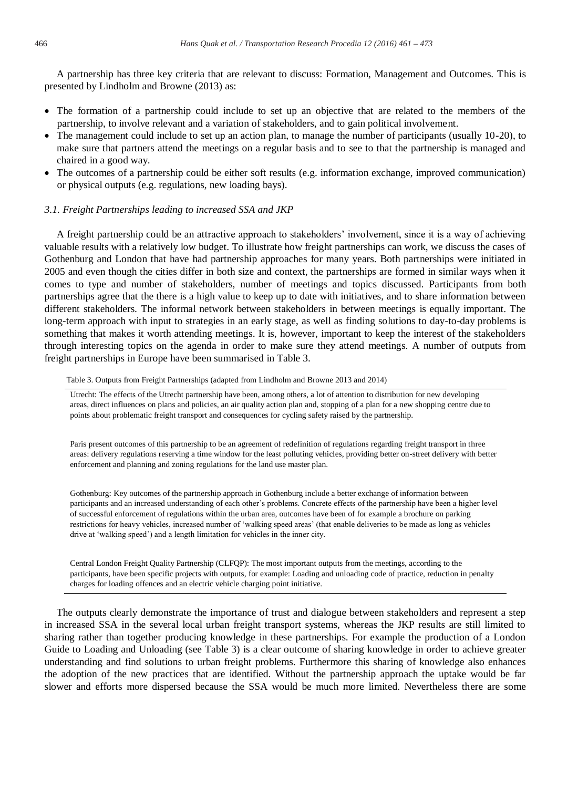A partnership has three key criteria that are relevant to discuss: Formation, Management and Outcomes. This is presented by Lindholm and Browne (2013) as:

- The formation of a partnership could include to set up an objective that are related to the members of the partnership, to involve relevant and a variation of stakeholders, and to gain political involvement.
- The management could include to set up an action plan, to manage the number of participants (usually 10-20), to make sure that partners attend the meetings on a regular basis and to see to that the partnership is managed and chaired in a good way.
- $\bullet$  The outcomes of a partnership could be either soft results (e.g. information exchange, improved communication) or physical outputs (e.g. regulations, new loading bays).

## *3.1. Freight Partnerships leading to increased SSA and JKP*

A freight partnership could be an attractive approach to stakeholders' involvement, since it is a way of achieving valuable results with a relatively low budget. To illustrate how freight partnerships can work, we discuss the cases of Gothenburg and London that have had partnership approaches for many years. Both partnerships were initiated in 2005 and even though the cities differ in both size and context, the partnerships are formed in similar ways when it comes to type and number of stakeholders, number of meetings and topics discussed. Participants from both partnerships agree that the there is a high value to keep up to date with initiatives, and to share information between different stakeholders. The informal network between stakeholders in between meetings is equally important. The long-term approach with input to strategies in an early stage, as well as finding solutions to day-to-day problems is something that makes it worth attending meetings. It is, however, important to keep the interest of the stakeholders through interesting topics on the agenda in order to make sure they attend meetings. A number of outputs from freight partnerships in Europe have been summarised in Table 3.

Table 3. Outputs from Freight Partnerships (adapted from Lindholm and Browne 2013 and 2014)

Utrecht: The effects of the Utrecht partnership have been, among others, a lot of attention to distribution for new developing areas, direct influences on plans and policies, an air quality action plan and, stopping of a plan for a new shopping centre due to points about problematic freight transport and consequences for cycling safety raised by the partnership.

Paris present outcomes of this partnership to be an agreement of redefinition of regulations regarding freight transport in three areas: delivery regulations reserving a time window for the least polluting vehicles, providing better on-street delivery with better enforcement and planning and zoning regulations for the land use master plan.

Gothenburg: Key outcomes of the partnership approach in Gothenburg include a better exchange of information between participants and an increased understanding of each other's problems. Concrete effects of the partnership have been a higher level of successful enforcement of regulations within the urban area, outcomes have been of for example a brochure on parking restrictions for heavy vehicles, increased number of 'walking speed areas' (that enable deliveries to be made as long as vehicles drive at 'walking speed') and a length limitation for vehicles in the inner city.

Central London Freight Quality Partnership (CLFQP): The most important outputs from the meetings, according to the participants, have been specific projects with outputs, for example: Loading and unloading code of practice, reduction in penalty charges for loading offences and an electric vehicle charging point initiative.

The outputs clearly demonstrate the importance of trust and dialogue between stakeholders and represent a step in increased SSA in the several local urban freight transport systems, whereas the JKP results are still limited to sharing rather than together producing knowledge in these partnerships. For example the production of a London Guide to Loading and Unloading (see Table 3) is a clear outcome of sharing knowledge in order to achieve greater understanding and find solutions to urban freight problems. Furthermore this sharing of knowledge also enhances the adoption of the new practices that are identified. Without the partnership approach the uptake would be far slower and efforts more dispersed because the SSA would be much more limited. Nevertheless there are some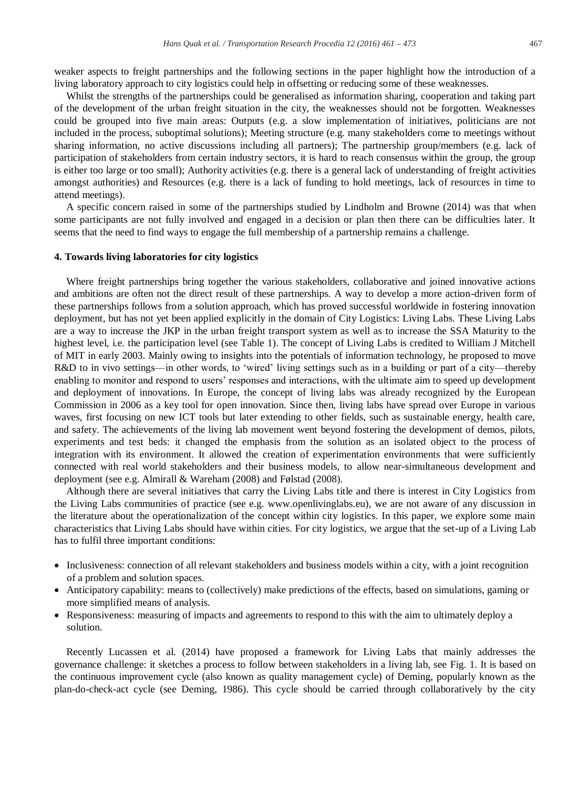weaker aspects to freight partnerships and the following sections in the paper highlight how the introduction of a living laboratory approach to city logistics could help in offsetting or reducing some of these weaknesses.

Whilst the strengths of the partnerships could be generalised as information sharing, cooperation and taking part of the development of the urban freight situation in the city, the weaknesses should not be forgotten. Weaknesses could be grouped into five main areas: Outputs (e.g. a slow implementation of initiatives, politicians are not included in the process, suboptimal solutions); Meeting structure (e.g. many stakeholders come to meetings without sharing information, no active discussions including all partners); The partnership group/members (e.g. lack of participation of stakeholders from certain industry sectors, it is hard to reach consensus within the group, the group is either too large or too small); Authority activities (e.g. there is a general lack of understanding of freight activities amongst authorities) and Resources (e.g. there is a lack of funding to hold meetings, lack of resources in time to attend meetings).

A specific concern raised in some of the partnerships studied by Lindholm and Browne (2014) was that when some participants are not fully involved and engaged in a decision or plan then there can be difficulties later. It seems that the need to find ways to engage the full membership of a partnership remains a challenge.

#### **4. Towards living laboratories for city logistics**

Where freight partnerships bring together the various stakeholders, collaborative and joined innovative actions and ambitions are often not the direct result of these partnerships. A way to develop a more action-driven form of these partnerships follows from a solution approach, which has proved successful worldwide in fostering innovation deployment, but has not yet been applied explicitly in the domain of City Logistics: Living Labs. These Living Labs are a way to increase the JKP in the urban freight transport system as well as to increase the SSA Maturity to the highest level, i.e. the participation level (see Table 1). The concept of Living Labs is credited to William J Mitchell of MIT in early 2003. Mainly owing to insights into the potentials of information technology, he proposed to move R&D to in vivo settings—in other words, to 'wired' living settings such as in a building or part of a city—thereby enabling to monitor and respond to users' responses and interactions, with the ultimate aim to speed up development and deployment of innovations. In Europe, the concept of living labs was already recognized by the European Commission in 2006 as a key tool for open innovation. Since then, living labs have spread over Europe in various waves, first focusing on new ICT tools but later extending to other fields, such as sustainable energy, health care, and safety. The achievements of the living lab movement went beyond fostering the development of demos, pilots, experiments and test beds: it changed the emphasis from the solution as an isolated object to the process of integration with its environment. It allowed the creation of experimentation environments that were sufficiently connected with real world stakeholders and their business models, to allow near-simultaneous development and deployment (see e.g. Almirall & Wareham (2008) and Følstad (2008).

Although there are several initiatives that carry the Living Labs title and there is interest in City Logistics from the Living Labs communities of practice (see e.g. www.openlivinglabs.eu), we are not aware of any discussion in the literature about the operationalization of the concept within city logistics. In this paper, we explore some main characteristics that Living Labs should have within cities. For city logistics, we argue that the set-up of a Living Lab has to fulfil three important conditions:

- Inclusiveness: connection of all relevant stakeholders and business models within a city, with a joint recognition of a problem and solution spaces.
- x Anticipatory capability: means to (collectively) make predictions of the effects, based on simulations, gaming or more simplified means of analysis.
- Responsiveness: measuring of impacts and agreements to respond to this with the aim to ultimately deploy a solution.

Recently Lucassen et al. (2014) have proposed a framework for Living Labs that mainly addresses the governance challenge: it sketches a process to follow between stakeholders in a living lab, see Fig. 1. It is based on the continuous improvement cycle (also known as quality management cycle) of Deming, popularly known as the plan-do-check-act cycle (see Deming, 1986). This cycle should be carried through collaboratively by the city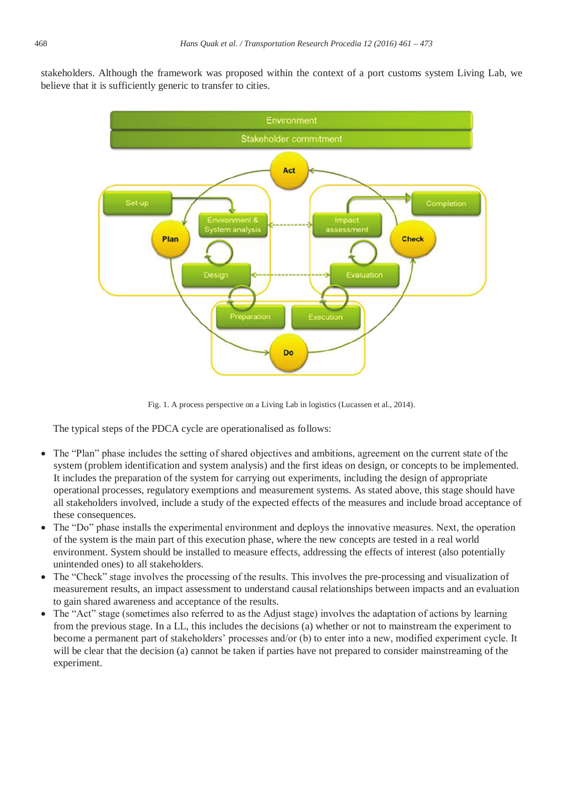stakeholders. Although the framework was proposed within the context of a port customs system Living Lab, we believe that it is sufficiently generic to transfer to cities.



Fig. 1. A process perspective on a Living Lab in logistics (Lucassen et al., 2014).

The typical steps of the PDCA cycle are operationalised as follows:

- The "Plan" phase includes the setting of shared objectives and ambitions, agreement on the current state of the system (problem identification and system analysis) and the first ideas on design, or concepts to be implemented. It includes the preparation of the system for carrying out experiments, including the design of appropriate operational processes, regulatory exemptions and measurement systems. As stated above, this stage should have all stakeholders involved, include a study of the expected effects of the measures and include broad acceptance of these consequences.
- The "Do" phase installs the experimental environment and deploys the innovative measures. Next, the operation of the system is the main part of this execution phase, where the new concepts are tested in a real world environment. System should be installed to measure effects, addressing the effects of interest (also potentially unintended ones) to all stakeholders.
- The "Check" stage involves the processing of the results. This involves the pre-processing and visualization of measurement results, an impact assessment to understand causal relationships between impacts and an evaluation to gain shared awareness and acceptance of the results.
- The "Act" stage (sometimes also referred to as the Adjust stage) involves the adaptation of actions by learning from the previous stage. In a LL, this includes the decisions (a) whether or not to mainstream the experiment to become a permanent part of stakeholders' processes and/or (b) to enter into a new, modified experiment cycle. It will be clear that the decision (a) cannot be taken if parties have not prepared to consider mainstreaming of the experiment.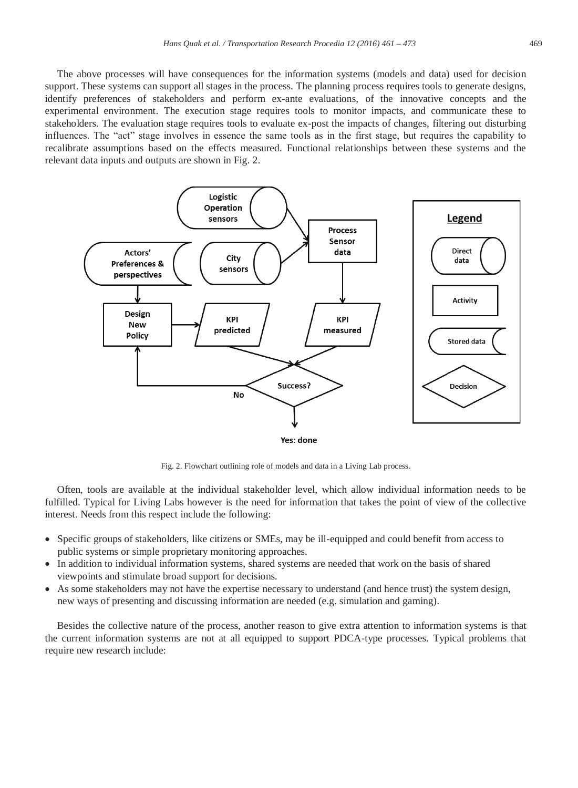The above processes will have consequences for the information systems (models and data) used for decision support. These systems can support all stages in the process. The planning process requires tools to generate designs, identify preferences of stakeholders and perform ex-ante evaluations, of the innovative concepts and the experimental environment. The execution stage requires tools to monitor impacts, and communicate these to stakeholders. The evaluation stage requires tools to evaluate ex-post the impacts of changes, filtering out disturbing influences. The "act" stage involves in essence the same tools as in the first stage, but requires the capability to recalibrate assumptions based on the effects measured. Functional relationships between these systems and the relevant data inputs and outputs are shown in Fig. 2.



Fig. 2. Flowchart outlining role of models and data in a Living Lab process.

Often, tools are available at the individual stakeholder level, which allow individual information needs to be fulfilled. Typical for Living Labs however is the need for information that takes the point of view of the collective interest. Needs from this respect include the following:

- Specific groups of stakeholders, like citizens or SMEs, may be ill-equipped and could benefit from access to public systems or simple proprietary monitoring approaches.
- In addition to individual information systems, shared systems are needed that work on the basis of shared viewpoints and stimulate broad support for decisions.
- As some stakeholders may not have the expertise necessary to understand (and hence trust) the system design, new ways of presenting and discussing information are needed (e.g. simulation and gaming).

Besides the collective nature of the process, another reason to give extra attention to information systems is that the current information systems are not at all equipped to support PDCA-type processes. Typical problems that require new research include: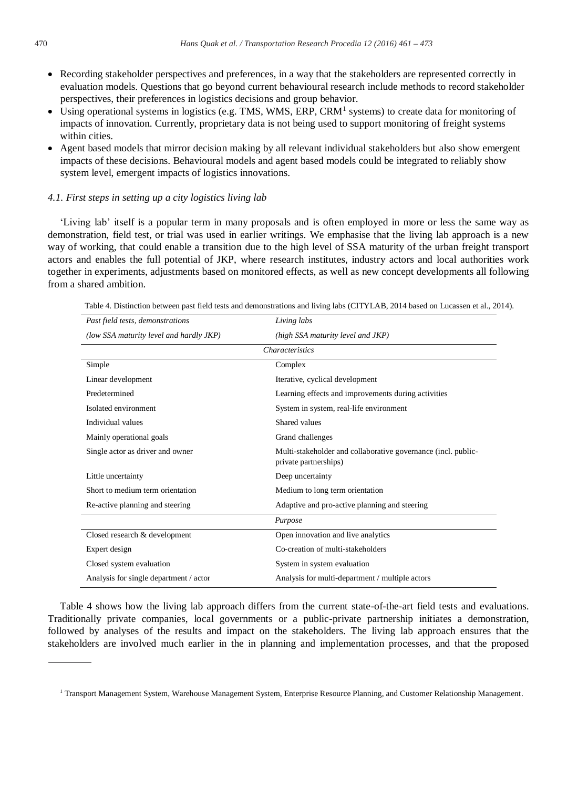- Recording stakeholder perspectives and preferences, in a way that the stakeholders are represented correctly in evaluation models. Questions that go beyond current behavioural research include methods to record stakeholder perspectives, their preferences in logistics decisions and group behavior.
- Using operational systems in logistics (e.g. TMS, WMS, ERP, CRM<sup>1</sup> systems) to create data for monitoring of impacts of innovation. Currently, proprietary data is not being used to support monitoring of freight systems within cities.
- Agent based models that mirror decision making by all relevant individual stakeholders but also show emergent impacts of these decisions. Behavioural models and agent based models could be integrated to reliably show system level, emergent impacts of logistics innovations.

## *4.1. First steps in setting up a city logistics living lab*

'Living lab' itself is a popular term in many proposals and is often employed in more or less the same way as demonstration, field test, or trial was used in earlier writings. We emphasise that the living lab approach is a new way of working, that could enable a transition due to the high level of SSA maturity of the urban freight transport actors and enables the full potential of JKP, where research institutes, industry actors and local authorities work together in experiments, adjustments based on monitored effects, as well as new concept developments all following from a shared ambition.

| Past field tests, demonstrations        | Living labs                                                                            |  |  |  |
|-----------------------------------------|----------------------------------------------------------------------------------------|--|--|--|
| (low SSA maturity level and hardly JKP) | (high SSA maturity level and JKP)                                                      |  |  |  |
| <b>Characteristics</b>                  |                                                                                        |  |  |  |
| Simple                                  | Complex                                                                                |  |  |  |
| Linear development                      | Iterative, cyclical development                                                        |  |  |  |
| Predetermined                           | Learning effects and improvements during activities                                    |  |  |  |
| Isolated environment                    | System in system, real-life environment                                                |  |  |  |
| Individual values                       | Shared values                                                                          |  |  |  |
| Mainly operational goals                | Grand challenges                                                                       |  |  |  |
| Single actor as driver and owner        | Multi-stakeholder and collaborative governance (incl. public-<br>private partnerships) |  |  |  |
| Little uncertainty                      | Deep uncertainty                                                                       |  |  |  |
| Short to medium term orientation        | Medium to long term orientation                                                        |  |  |  |
| Re-active planning and steering         | Adaptive and pro-active planning and steering                                          |  |  |  |
|                                         | Purpose                                                                                |  |  |  |
| Closed research & development           | Open innovation and live analytics                                                     |  |  |  |
| Expert design                           | Co-creation of multi-stakeholders                                                      |  |  |  |
| Closed system evaluation                | System in system evaluation                                                            |  |  |  |
| Analysis for single department / actor  | Analysis for multi-department / multiple actors                                        |  |  |  |

Table 4. Distinction between past field tests and demonstrations and living labs (CITYLAB, 2014 based on Lucassen et al., 2014).

Table 4 shows how the living lab approach differs from the current state-of-the-art field tests and evaluations. Traditionally private companies, local governments or a public-private partnership initiates a demonstration, followed by analyses of the results and impact on the stakeholders. The living lab approach ensures that the stakeholders are involved much earlier in the in planning and implementation processes, and that the proposed

<sup>&</sup>lt;sup>1</sup> Transport Management System, Warehouse Management System, Enterprise Resource Planning, and Customer Relationship Management.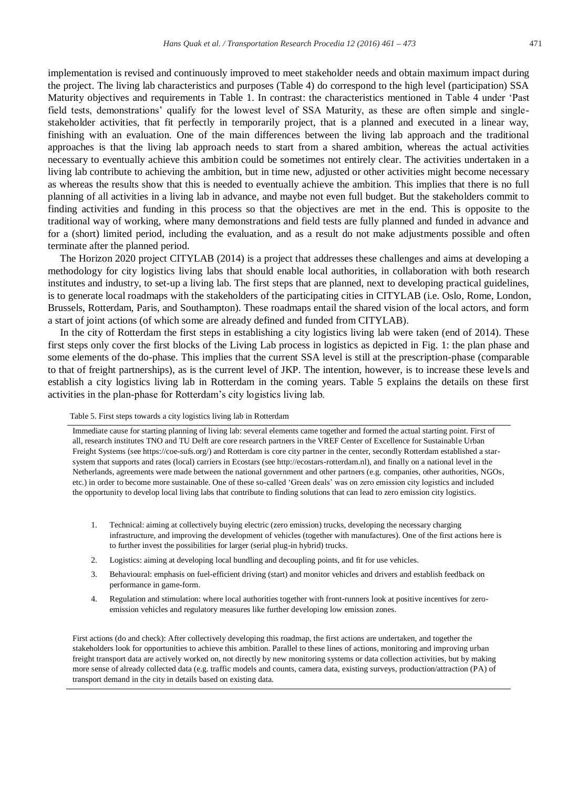implementation is revised and continuously improved to meet stakeholder needs and obtain maximum impact during the project. The living lab characteristics and purposes (Table 4) do correspond to the high level (participation) SSA Maturity objectives and requirements in Table 1. In contrast: the characteristics mentioned in Table 4 under 'Past field tests, demonstrations' qualify for the lowest level of SSA Maturity, as these are often simple and singlestakeholder activities, that fit perfectly in temporarily project, that is a planned and executed in a linear way, finishing with an evaluation. One of the main differences between the living lab approach and the traditional approaches is that the living lab approach needs to start from a shared ambition, whereas the actual activities necessary to eventually achieve this ambition could be sometimes not entirely clear. The activities undertaken in a living lab contribute to achieving the ambition, but in time new, adjusted or other activities might become necessary as whereas the results show that this is needed to eventually achieve the ambition. This implies that there is no full planning of all activities in a living lab in advance, and maybe not even full budget. But the stakeholders commit to finding activities and funding in this process so that the objectives are met in the end. This is opposite to the traditional way of working, where many demonstrations and field tests are fully planned and funded in advance and for a (short) limited period, including the evaluation, and as a result do not make adjustments possible and often terminate after the planned period.

The Horizon 2020 project CITYLAB (2014) is a project that addresses these challenges and aims at developing a methodology for city logistics living labs that should enable local authorities, in collaboration with both research institutes and industry, to set-up a living lab. The first steps that are planned, next to developing practical guidelines, is to generate local roadmaps with the stakeholders of the participating cities in CITYLAB (i.e. Oslo, Rome, London, Brussels, Rotterdam, Paris, and Southampton). These roadmaps entail the shared vision of the local actors, and form a start of joint actions (of which some are already defined and funded from CITYLAB).

In the city of Rotterdam the first steps in establishing a city logistics living lab were taken (end of 2014). These first steps only cover the first blocks of the Living Lab process in logistics as depicted in Fig. 1: the plan phase and some elements of the do-phase. This implies that the current SSA level is still at the prescription-phase (comparable to that of freight partnerships), as is the current level of JKP. The intention, however, is to increase these levels and establish a city logistics living lab in Rotterdam in the coming years. Table 5 explains the details on these first activities in the plan-phase for Rotterdam's city logistics living lab.

#### Table 5. First steps towards a city logistics living lab in Rotterdam

Immediate cause for starting planning of living lab: several elements came together and formed the actual starting point. First of all, research institutes TNO and TU Delft are core research partners in the VREF Center of Excellence for Sustainable Urban Freight Systems (see https://coe-sufs.org/) and Rotterdam is core city partner in the center, secondly Rotterdam established a starsystem that supports and rates (local) carriers in Ecostars (see http://ecostars-rotterdam.nl), and finally on a national level in the Netherlands, agreements were made between the national government and other partners (e.g. companies, other authorities, NGOs, etc.) in order to become more sustainable. One of these so-called 'Green deals' was on zero emission city logistics and included the opportunity to develop local living labs that contribute to finding solutions that can lead to zero emission city logistics.

- 1. Technical: aiming at collectively buying electric (zero emission) trucks, developing the necessary charging infrastructure, and improving the development of vehicles (together with manufactures). One of the first actions here is to further invest the possibilities for larger (serial plug-in hybrid) trucks.
- 2. Logistics: aiming at developing local bundling and decoupling points, and fit for use vehicles.
- 3. Behavioural: emphasis on fuel-efficient driving (start) and monitor vehicles and drivers and establish feedback on performance in game-form.
- 4. Regulation and stimulation: where local authorities together with front-runners look at positive incentives for zeroemission vehicles and regulatory measures like further developing low emission zones.

First actions (do and check): After collectively developing this roadmap, the first actions are undertaken, and together the stakeholders look for opportunities to achieve this ambition. Parallel to these lines of actions, monitoring and improving urban freight transport data are actively worked on, not directly by new monitoring systems or data collection activities, but by making more sense of already collected data (e.g. traffic models and counts, camera data, existing surveys, production/attraction (PA) of transport demand in the city in details based on existing data.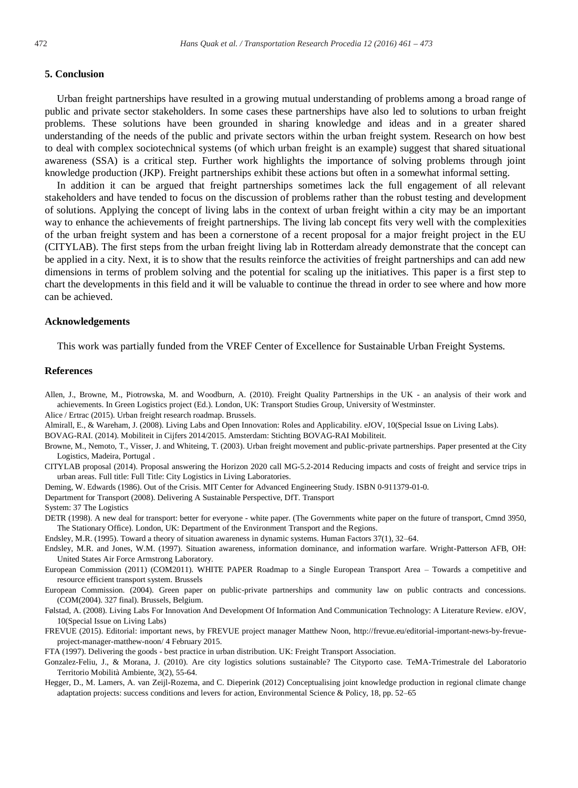## **5. Conclusion**

Urban freight partnerships have resulted in a growing mutual understanding of problems among a broad range of public and private sector stakeholders. In some cases these partnerships have also led to solutions to urban freight problems. These solutions have been grounded in sharing knowledge and ideas and in a greater shared understanding of the needs of the public and private sectors within the urban freight system. Research on how best to deal with complex sociotechnical systems (of which urban freight is an example) suggest that shared situational awareness (SSA) is a critical step. Further work highlights the importance of solving problems through joint knowledge production (JKP). Freight partnerships exhibit these actions but often in a somewhat informal setting.

In addition it can be argued that freight partnerships sometimes lack the full engagement of all relevant stakeholders and have tended to focus on the discussion of problems rather than the robust testing and development of solutions. Applying the concept of living labs in the context of urban freight within a city may be an important way to enhance the achievements of freight partnerships. The living lab concept fits very well with the complexities of the urban freight system and has been a cornerstone of a recent proposal for a major freight project in the EU (CITYLAB). The first steps from the urban freight living lab in Rotterdam already demonstrate that the concept can be applied in a city. Next, it is to show that the results reinforce the activities of freight partnerships and can add new dimensions in terms of problem solving and the potential for scaling up the initiatives. This paper is a first step to chart the developments in this field and it will be valuable to continue the thread in order to see where and how more can be achieved.

## **Acknowledgements**

This work was partially funded from the VREF Center of Excellence for Sustainable Urban Freight Systems.

## **References**

Allen, J., Browne, M., Piotrowska, M. and Woodburn, A. (2010). Freight Quality Partnerships in the UK - an analysis of their work and achievements. In Green Logistics project (Ed.). London, UK: Transport Studies Group, University of Westminster.

Alice / Ertrac (2015). Urban freight research roadmap. Brussels.

Almirall, E., & Wareham, J. (2008). Living Labs and Open Innovation: Roles and Applicability. eJOV, 10(Special Issue on Living Labs).

BOVAG-RAI. (2014). Mobiliteit in Cijfers 2014/2015. Amsterdam: Stichting BOVAG-RAI Mobiliteit.

- Browne, M., Nemoto, T., Visser, J. and Whiteing, T. (2003). Urban freight movement and public-private partnerships. Paper presented at the City Logistics, Madeira, Portugal .
- CITYLAB proposal (2014). Proposal answering the Horizon 2020 call MG-5.2-2014 Reducing impacts and costs of freight and service trips in urban areas. Full title: Full Title: City Logistics in Living Laboratories.
- Deming, W. Edwards (1986). Out of the Crisis. MIT Center for Advanced Engineering Study. ISBN 0-911379-01-0.
- Department for Transport (2008). Delivering A Sustainable Perspective, DfT. Transport

System: 37 The Logistics

- DETR (1998). A new deal for transport: better for everyone white paper. (The Governments white paper on the future of transport, Cmnd 3950, The Stationary Office). London, UK: Department of the Environment Transport and the Regions.
- Endsley, M.R. (1995). Toward a theory of situation awareness in dynamic systems. Human Factors 37(1), 32–64.
- Endsley, M.R. and Jones, W.M. (1997). Situation awareness, information dominance, and information warfare. Wright-Patterson AFB, OH: United States Air Force Armstrong Laboratory.
- European Commission (2011) (COM2011). WHITE PAPER Roadmap to a Single European Transport Area Towards a competitive and resource efficient transport system. Brussels
- European Commission. (2004). Green paper on public-private partnerships and community law on public contracts and concessions. (COM(2004). 327 final). Brussels, Belgium.
- Følstad, A. (2008). Living Labs For Innovation And Development Of Information And Communication Technology: A Literature Review. eJOV, 10(Special Issue on Living Labs)
- FREVUE (2015). Editorial: important news, by FREVUE project manager Matthew Noon, http://frevue.eu/editorial-important-news-by-frevueproject-manager-matthew-noon/ 4 February 2015.
- FTA (1997). Delivering the goods best practice in urban distribution. UK: Freight Transport Association.
- Gonzalez-Feliu, J., & Morana, J. (2010). Are city logistics solutions sustainable? The Cityporto case. TeMA-Trimestrale del Laboratorio Territorio Mobilità Ambiente, 3(2), 55-64.
- Hegger, D., M. Lamers, A. van Zeijl-Rozema, and C. Dieperink (2012) Conceptualising joint knowledge production in regional climate change adaptation projects: success conditions and levers for action, Environmental Science & Policy, 18, pp. 52–65